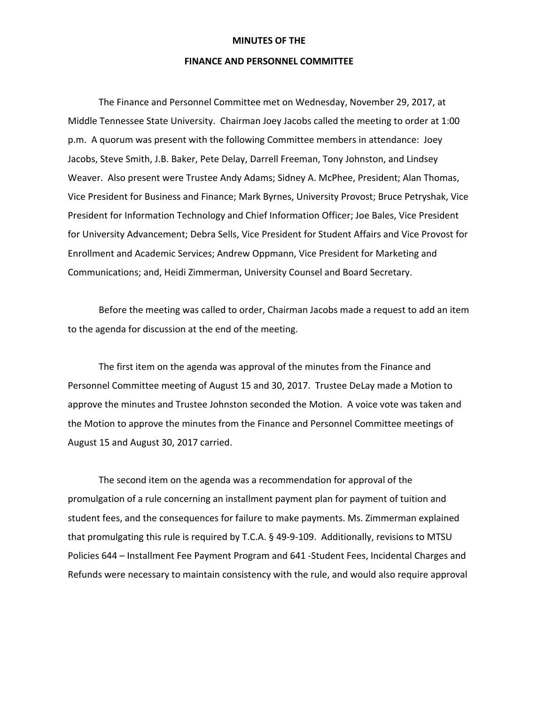## **MINUTES OF THE**

## **FINANCE AND PERSONNEL COMMITTEE**

The Finance and Personnel Committee met on Wednesday, November 29, 2017, at Middle Tennessee State University. Chairman Joey Jacobs called the meeting to order at 1:00 p.m. A quorum was present with the following Committee members in attendance: Joey Jacobs, Steve Smith, J.B. Baker, Pete Delay, Darrell Freeman, Tony Johnston, and Lindsey Weaver. Also present were Trustee Andy Adams; Sidney A. McPhee, President; Alan Thomas, Vice President for Business and Finance; Mark Byrnes, University Provost; Bruce Petryshak, Vice President for Information Technology and Chief Information Officer; Joe Bales, Vice President for University Advancement; Debra Sells, Vice President for Student Affairs and Vice Provost for Enrollment and Academic Services; Andrew Oppmann, Vice President for Marketing and Communications; and, Heidi Zimmerman, University Counsel and Board Secretary.

Before the meeting was called to order, Chairman Jacobs made a request to add an item to the agenda for discussion at the end of the meeting.

The first item on the agenda was approval of the minutes from the Finance and Personnel Committee meeting of August 15 and 30, 2017. Trustee DeLay made a Motion to approve the minutes and Trustee Johnston seconded the Motion. A voice vote was taken and the Motion to approve the minutes from the Finance and Personnel Committee meetings of August 15 and August 30, 2017 carried.

The second item on the agenda was a recommendation for approval of the promulgation of a rule concerning an installment payment plan for payment of tuition and student fees, and the consequences for failure to make payments. Ms. Zimmerman explained that promulgating this rule is required by T.C.A. § 49-9-109. Additionally, revisions to MTSU Policies 644 – Installment Fee Payment Program and 641 ‐Student Fees, Incidental Charges and Refunds were necessary to maintain consistency with the rule, and would also require approval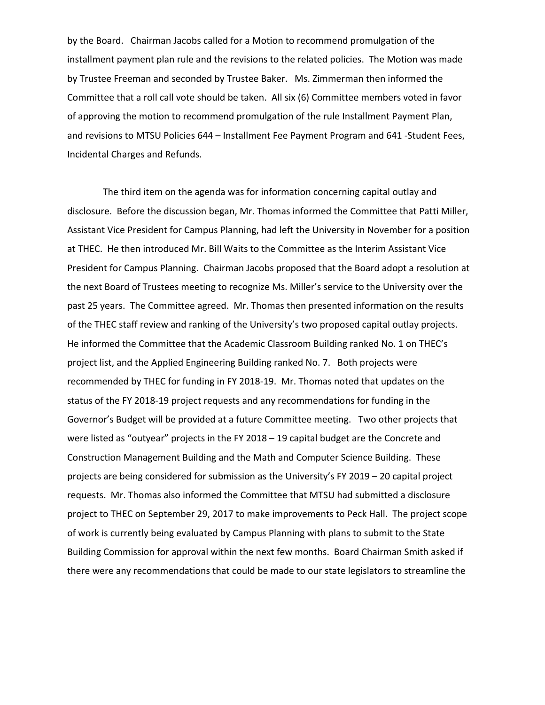by the Board. Chairman Jacobs called for a Motion to recommend promulgation of the installment payment plan rule and the revisions to the related policies. The Motion was made by Trustee Freeman and seconded by Trustee Baker. Ms. Zimmerman then informed the Committee that a roll call vote should be taken. All six (6) Committee members voted in favor of approving the motion to recommend promulgation of the rule Installment Payment Plan, and revisions to MTSU Policies 644 – Installment Fee Payment Program and 641 ‐Student Fees, Incidental Charges and Refunds.

 The third item on the agenda was for information concerning capital outlay and disclosure. Before the discussion began, Mr. Thomas informed the Committee that Patti Miller, Assistant Vice President for Campus Planning, had left the University in November for a position at THEC. He then introduced Mr. Bill Waits to the Committee as the Interim Assistant Vice President for Campus Planning. Chairman Jacobs proposed that the Board adopt a resolution at the next Board of Trustees meeting to recognize Ms. Miller's service to the University over the past 25 years. The Committee agreed. Mr. Thomas then presented information on the results of the THEC staff review and ranking of the University's two proposed capital outlay projects. He informed the Committee that the Academic Classroom Building ranked No. 1 on THEC's project list, and the Applied Engineering Building ranked No. 7. Both projects were recommended by THEC for funding in FY 2018‐19. Mr. Thomas noted that updates on the status of the FY 2018‐19 project requests and any recommendations for funding in the Governor's Budget will be provided at a future Committee meeting. Two other projects that were listed as "outyear" projects in the FY 2018 – 19 capital budget are the Concrete and Construction Management Building and the Math and Computer Science Building. These projects are being considered for submission as the University's FY 2019 – 20 capital project requests. Mr. Thomas also informed the Committee that MTSU had submitted a disclosure project to THEC on September 29, 2017 to make improvements to Peck Hall. The project scope of work is currently being evaluated by Campus Planning with plans to submit to the State Building Commission for approval within the next few months. Board Chairman Smith asked if there were any recommendations that could be made to our state legislators to streamline the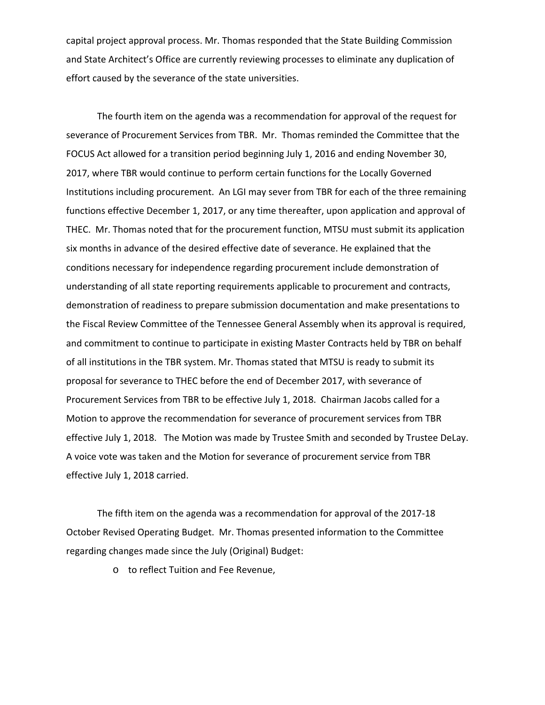capital project approval process. Mr. Thomas responded that the State Building Commission and State Architect's Office are currently reviewing processes to eliminate any duplication of effort caused by the severance of the state universities.

The fourth item on the agenda was a recommendation for approval of the request for severance of Procurement Services from TBR. Mr. Thomas reminded the Committee that the FOCUS Act allowed for a transition period beginning July 1, 2016 and ending November 30, 2017, where TBR would continue to perform certain functions for the Locally Governed Institutions including procurement. An LGI may sever from TBR for each of the three remaining functions effective December 1, 2017, or any time thereafter, upon application and approval of THEC. Mr. Thomas noted that for the procurement function, MTSU must submit its application six months in advance of the desired effective date of severance. He explained that the conditions necessary for independence regarding procurement include demonstration of understanding of all state reporting requirements applicable to procurement and contracts, demonstration of readiness to prepare submission documentation and make presentations to the Fiscal Review Committee of the Tennessee General Assembly when its approval is required, and commitment to continue to participate in existing Master Contracts held by TBR on behalf of all institutions in the TBR system. Mr. Thomas stated that MTSU is ready to submit its proposal for severance to THEC before the end of December 2017, with severance of Procurement Services from TBR to be effective July 1, 2018. Chairman Jacobs called for a Motion to approve the recommendation for severance of procurement services from TBR effective July 1, 2018. The Motion was made by Trustee Smith and seconded by Trustee DeLay. A voice vote was taken and the Motion for severance of procurement service from TBR effective July 1, 2018 carried.

The fifth item on the agenda was a recommendation for approval of the 2017‐18 October Revised Operating Budget. Mr. Thomas presented information to the Committee regarding changes made since the July (Original) Budget:

o to reflect Tuition and Fee Revenue,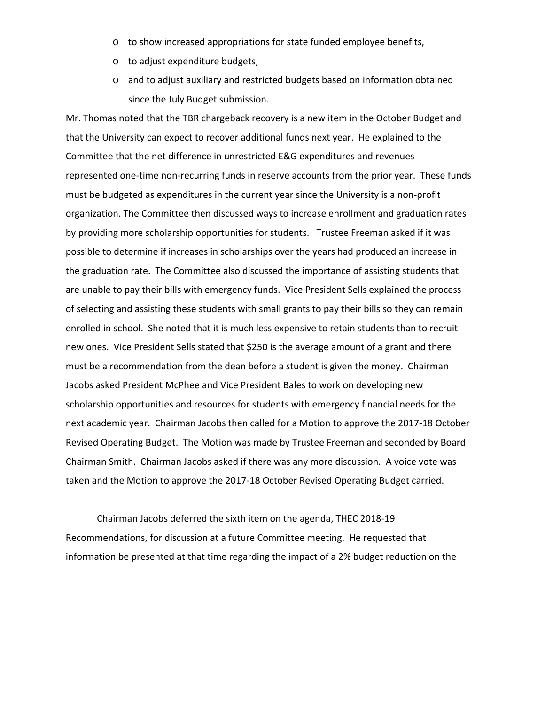- o to show increased appropriations for state funded employee benefits,
- o to adjust expenditure budgets,
- o and to adjust auxiliary and restricted budgets based on information obtained since the July Budget submission.

Mr. Thomas noted that the TBR chargeback recovery is a new item in the October Budget and that the University can expect to recover additional funds next year. He explained to the Committee that the net difference in unrestricted E&G expenditures and revenues represented one-time non-recurring funds in reserve accounts from the prior year. These funds must be budgeted as expenditures in the current year since the University is a non‐profit organization. The Committee then discussed ways to increase enrollment and graduation rates by providing more scholarship opportunities for students. Trustee Freeman asked if it was possible to determine if increases in scholarships over the years had produced an increase in the graduation rate. The Committee also discussed the importance of assisting students that are unable to pay their bills with emergency funds. Vice President Sells explained the process of selecting and assisting these students with small grants to pay their bills so they can remain enrolled in school. She noted that it is much less expensive to retain students than to recruit new ones. Vice President Sells stated that \$250 is the average amount of a grant and there must be a recommendation from the dean before a student is given the money. Chairman Jacobs asked President McPhee and Vice President Bales to work on developing new scholarship opportunities and resources for students with emergency financial needs for the next academic year. Chairman Jacobs then called for a Motion to approve the 2017‐18 October Revised Operating Budget. The Motion was made by Trustee Freeman and seconded by Board Chairman Smith. Chairman Jacobs asked if there was any more discussion. A voice vote was taken and the Motion to approve the 2017‐18 October Revised Operating Budget carried.

Chairman Jacobs deferred the sixth item on the agenda, THEC 2018‐19 Recommendations, for discussion at a future Committee meeting. He requested that information be presented at that time regarding the impact of a 2% budget reduction on the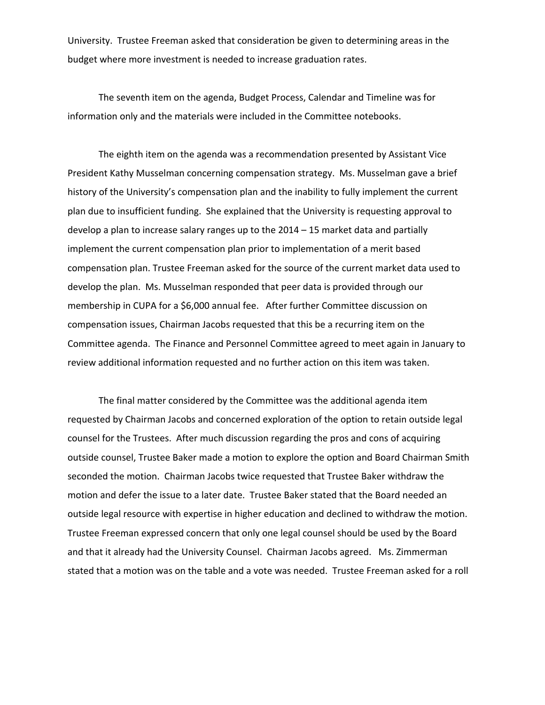University. Trustee Freeman asked that consideration be given to determining areas in the budget where more investment is needed to increase graduation rates.

The seventh item on the agenda, Budget Process, Calendar and Timeline was for information only and the materials were included in the Committee notebooks.

The eighth item on the agenda was a recommendation presented by Assistant Vice President Kathy Musselman concerning compensation strategy. Ms. Musselman gave a brief history of the University's compensation plan and the inability to fully implement the current plan due to insufficient funding. She explained that the University is requesting approval to develop a plan to increase salary ranges up to the 2014 – 15 market data and partially implement the current compensation plan prior to implementation of a merit based compensation plan. Trustee Freeman asked for the source of the current market data used to develop the plan. Ms. Musselman responded that peer data is provided through our membership in CUPA for a \$6,000 annual fee. After further Committee discussion on compensation issues, Chairman Jacobs requested that this be a recurring item on the Committee agenda. The Finance and Personnel Committee agreed to meet again in January to review additional information requested and no further action on this item was taken.

The final matter considered by the Committee was the additional agenda item requested by Chairman Jacobs and concerned exploration of the option to retain outside legal counsel for the Trustees. After much discussion regarding the pros and cons of acquiring outside counsel, Trustee Baker made a motion to explore the option and Board Chairman Smith seconded the motion. Chairman Jacobs twice requested that Trustee Baker withdraw the motion and defer the issue to a later date. Trustee Baker stated that the Board needed an outside legal resource with expertise in higher education and declined to withdraw the motion. Trustee Freeman expressed concern that only one legal counsel should be used by the Board and that it already had the University Counsel. Chairman Jacobs agreed. Ms. Zimmerman stated that a motion was on the table and a vote was needed. Trustee Freeman asked for a roll